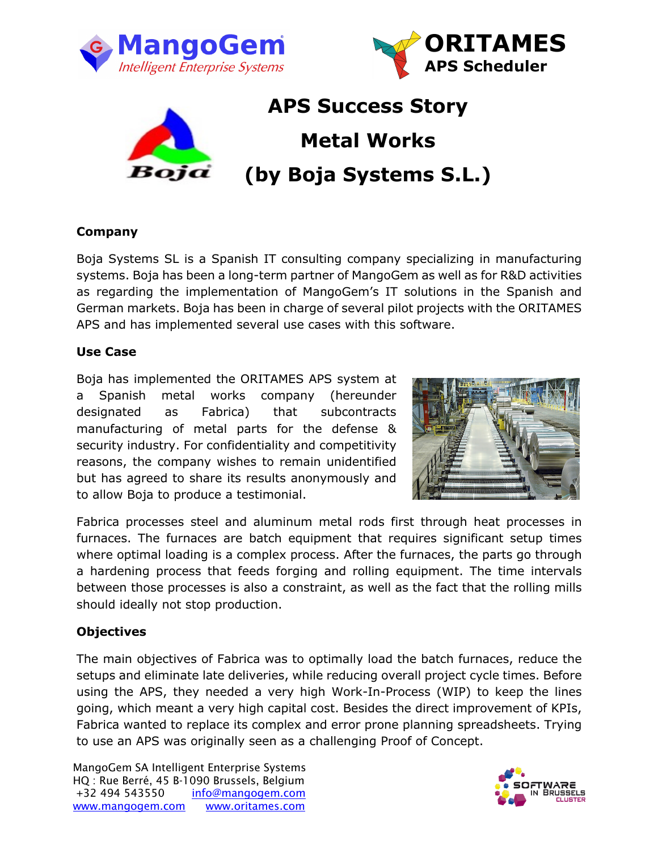





# **APS Success Story Metal Works (by Boja Systems S.L.)**

## **Company**

Boja Systems SL is a Spanish IT consulting company specializing in manufacturing systems. Boja has been a long-term partner of MangoGem as well as for R&D activities as regarding the implementation of MangoGem's IT solutions in the Spanish and German markets. Boja has been in charge of several pilot projects with the ORITAMES APS and has implemented several use cases with this software.

## **Use Case**

Boja has implemented the ORITAMES APS system at a Spanish metal works company (hereunder designated as Fabrica) that subcontracts manufacturing of metal parts for the defense & security industry. For confidentiality and competitivity reasons, the company wishes to remain unidentified but has agreed to share its results anonymously and to allow Boja to produce a testimonial.



Fabrica processes steel and aluminum metal rods first through heat processes in furnaces. The furnaces are batch equipment that requires significant setup times where optimal loading is a complex process. After the furnaces, the parts go through a hardening process that feeds forging and rolling equipment. The time intervals between those processes is also a constraint, as well as the fact that the rolling mills should ideally not stop production.

## **Objectives**

The main objectives of Fabrica was to optimally load the batch furnaces, reduce the setups and eliminate late deliveries, while reducing overall project cycle times. Before using the APS, they needed a very high Work-In-Process (WIP) to keep the lines going, which meant a very high capital cost. Besides the direct improvement of KPIs, Fabrica wanted to replace its complex and error prone planning spreadsheets. Trying to use an APS was originally seen as a challenging Proof of Concept.